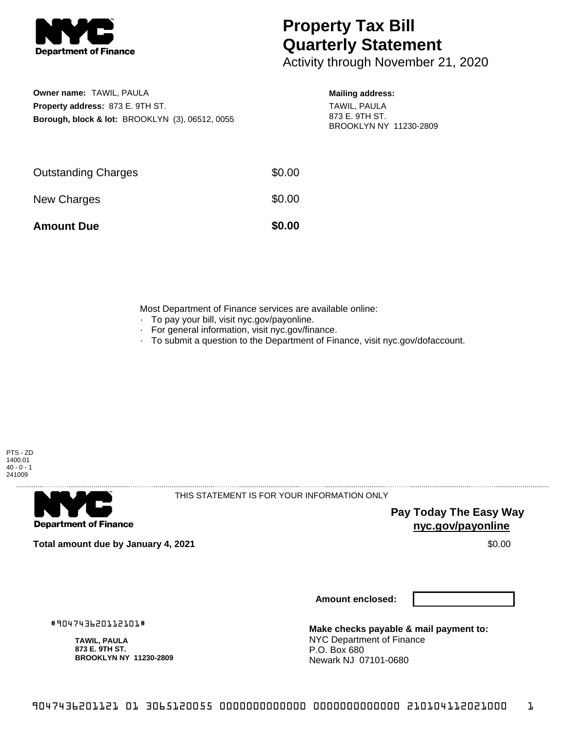

## **Property Tax Bill Quarterly Statement**

Activity through November 21, 2020

**Owner name:** TAWIL, PAULA **Property address:** 873 E. 9TH ST. **Borough, block & lot:** BROOKLYN (3), 06512, 0055

## **Mailing address:**

TAWIL, PAULA 873 E. 9TH ST. BROOKLYN NY 11230-2809

| <b>Amount Due</b>          | \$0.00 |
|----------------------------|--------|
| New Charges                | \$0.00 |
| <b>Outstanding Charges</b> | \$0.00 |

Most Department of Finance services are available online:

- · To pay your bill, visit nyc.gov/payonline.
- For general information, visit nyc.gov/finance.
- · To submit a question to the Department of Finance, visit nyc.gov/dofaccount.



**Department of Finance** 

THIS STATEMENT IS FOR YOUR INFORMATION ONLY

**Pay Today The Easy Way nyc.gov/payonline**

**Total amount due by January 4, 2021** \$0.00

**Amount enclosed:**

#904743620112101#

**TAWIL, PAULA 873 E. 9TH ST. BROOKLYN NY 11230-2809**

**Make checks payable & mail payment to:** NYC Department of Finance P.O. Box 680 Newark NJ 07101-0680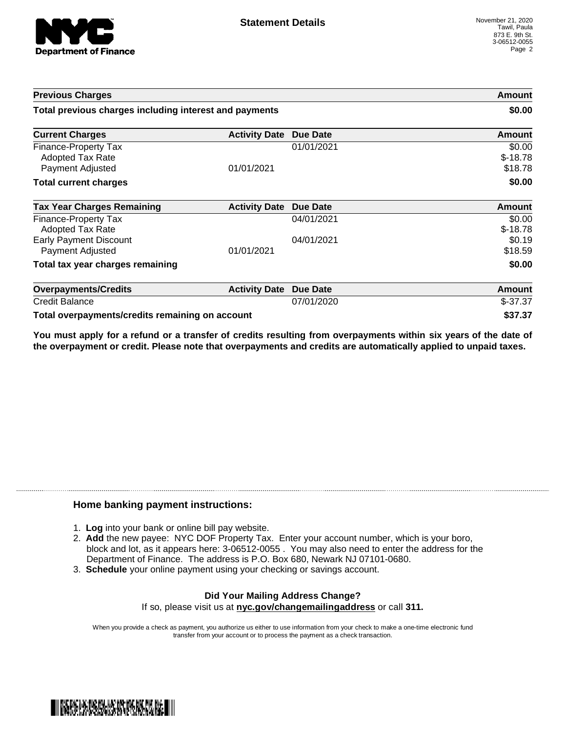

| <b>Previous Charges</b>                                             |                      | Amount<br>\$0.00 |                                |
|---------------------------------------------------------------------|----------------------|------------------|--------------------------------|
| Total previous charges including interest and payments              |                      |                  |                                |
| <b>Current Charges</b>                                              | <b>Activity Date</b> | <b>Due Date</b>  | Amount                         |
| Finance-Property Tax<br><b>Adopted Tax Rate</b><br>Payment Adjusted | 01/01/2021           | 01/01/2021       | \$0.00<br>$$-18.78$<br>\$18.78 |
| <b>Total current charges</b>                                        |                      |                  | \$0.00                         |
| <b>Tax Year Charges Remaining</b>                                   | <b>Activity Date</b> | <b>Due Date</b>  | Amount                         |
| Finance-Property Tax<br><b>Adopted Tax Rate</b>                     |                      | 04/01/2021       | \$0.00<br>$$-18.78$            |
| <b>Early Payment Discount</b><br>Payment Adjusted                   | 01/01/2021           | 04/01/2021       | \$0.19<br>\$18.59              |
| Total tax year charges remaining                                    |                      |                  | \$0.00                         |
| <b>Overpayments/Credits</b>                                         | <b>Activity Date</b> | <b>Due Date</b>  | Amount                         |
| <b>Credit Balance</b>                                               |                      | 07/01/2020       | $$-37.37$                      |
| Total overpayments/credits remaining on account                     |                      |                  | \$37.37                        |

You must apply for a refund or a transfer of credits resulting from overpayments within six years of the date of **the overpayment or credit. Please note that overpayments and credits are automatically applied to unpaid taxes.**

## **Home banking payment instructions:**

- 1. **Log** into your bank or online bill pay website.
- 2. **Add** the new payee: NYC DOF Property Tax. Enter your account number, which is your boro, block and lot, as it appears here: 3-06512-0055 . You may also need to enter the address for the Department of Finance. The address is P.O. Box 680, Newark NJ 07101-0680.
- 3. **Schedule** your online payment using your checking or savings account.

## **Did Your Mailing Address Change?** If so, please visit us at **nyc.gov/changemailingaddress** or call **311.**

When you provide a check as payment, you authorize us either to use information from your check to make a one-time electronic fund transfer from your account or to process the payment as a check transaction.